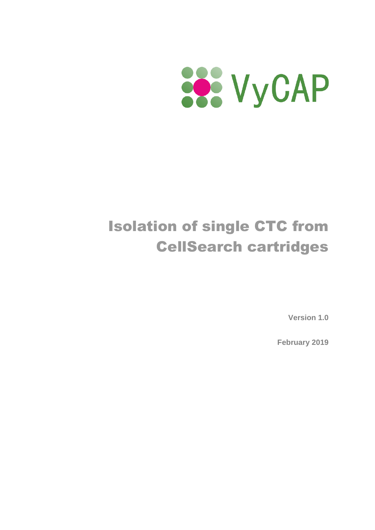

# Isolation of single CTC from CellSearch cartridges

**Version 1.0**

**February 2019**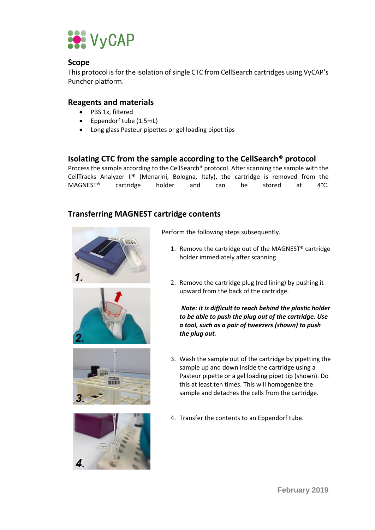

#### **Scope**

This protocol is for the isolation of single CTC from CellSearch cartridges using VyCAP's Puncher platform.

### **Reagents and materials**

- PBS 1x, filtered
- Eppendorf tube (1.5mL)
- Long glass Pasteur pipettes or gel loading pipet tips

## **Isolating CTC from the sample according to the CellSearch® protocol**

Process the sample according to the CellSearch® protocol. After scanning the sample with the CellTracks Analyzer II® (Menarini, Bologna, Italy), the cartridge is removed from the MAGNEST® cartridge holder and can be stored at 4°C.

## **Transferring MAGNEST cartridge contents**









Perform the following steps subsequently.

- 1. Remove the cartridge out of the MAGNEST® cartridge holder immediately after scanning.
- 2. Remove the cartridge plug (red lining) by pushing it upward from the back of the cartridge.

*Note: it is difficult to reach behind the plastic holder to be able to push the plug out of the cartridge. Use a tool, such as a pair of tweezers (shown) to push the plug out.*

- 3. Wash the sample out of the cartridge by pipetting the sample up and down inside the cartridge using a Pasteur pipette or a gel loading pipet tip (shown). Do this at least ten times. This will homogenize the sample and detaches the cells from the cartridge.
- 4. Transfer the contents to an Eppendorf tube.